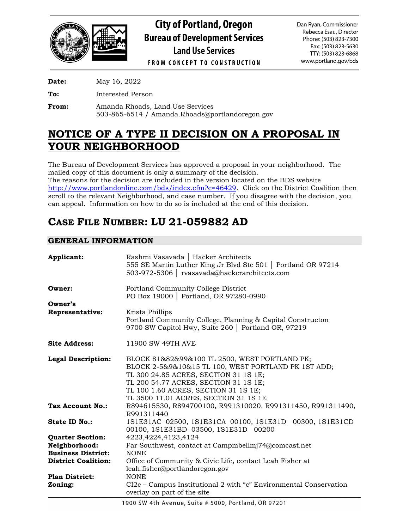

**City of Portland, Oregon Bureau of Development Services Land Use Services** 

Dan Ryan, Commissioner Rebecca Esau, Director Phone: (503) 823-7300 Fax: (503) 823-5630 TTY: (503) 823-6868 www.portland.gov/bds

**FROM CONCEPT TO CONSTRUCTION** 

**Date:** May 16, 2022

**To:** Interested Person

**From:** Amanda Rhoads, Land Use Services 503-865-6514 / Amanda.Rhoads@portlandoregon.gov

# **NOTICE OF A TYPE II DECISION ON A PROPOSAL IN YOUR NEIGHBORHOOD**

The Bureau of Development Services has approved a proposal in your neighborhood. The mailed copy of this document is only a summary of the decision. The reasons for the decision are included in the version located on the BDS website [http://www.portlandonline.com/bds/index.cfm?c=46429.](http://www.portlandonline.com/bds/index.cfm?c=46429) Click on the District Coalition then scroll to the relevant Neighborhood, and case number. If you disagree with the decision, you can appeal. Information on how to do so is included at the end of this decision.

# **CASE FILE NUMBER: LU 21-059882 AD**

# **GENERAL INFORMATION**

| Applicant:                 | Rashmi Vasavada   Hacker Architects<br>555 SE Martin Luther King Jr Blvd Ste 501   Portland OR 97214<br>503-972-5306   rvasavada@hackerarchitects.com                                                                                                                   |
|----------------------------|-------------------------------------------------------------------------------------------------------------------------------------------------------------------------------------------------------------------------------------------------------------------------|
| Owner:                     | Portland Community College District<br>PO Box 19000   Portland, OR 97280-0990                                                                                                                                                                                           |
| Owner's                    |                                                                                                                                                                                                                                                                         |
| <b>Representative:</b>     | Krista Phillips<br>Portland Community College, Planning & Capital Constructon<br>9700 SW Capitol Hwy, Suite 260   Portland OR, 97219                                                                                                                                    |
| <b>Site Address:</b>       | 11900 SW 49TH AVE                                                                                                                                                                                                                                                       |
| <b>Legal Description:</b>  | BLOCK 81&82&99&100 TL 2500, WEST PORTLAND PK;<br>BLOCK 2-5&9&10&15 TL 100, WEST PORTLAND PK 1ST ADD;<br>TL 300 24.85 ACRES, SECTION 31 1S 1E;<br>TL 200 54.77 ACRES, SECTION 31 1S 1E;<br>TL 100 1.60 ACRES, SECTION 31 1S 1E;<br>TL 3500 11.01 ACRES, SECTION 31 1S 1E |
| Tax Account No.:           | R894615530, R894700100, R991310020, R991311450, R991311490,<br>R991311440                                                                                                                                                                                               |
| State ID No.:              | 1S1E31AC 02500, 1S1E31CA 00100, 1S1E31D 00300, 1S1E31CD<br>00100, 1S1E31BD 03500, 1S1E31D 00200                                                                                                                                                                         |
| <b>Quarter Section:</b>    | 4223, 4224, 4123, 4124                                                                                                                                                                                                                                                  |
| Neighborhood:              | Far Southwest, contact at Campmbellmj74@comcast.net                                                                                                                                                                                                                     |
| <b>Business District:</b>  | <b>NONE</b>                                                                                                                                                                                                                                                             |
| <b>District Coalition:</b> | Office of Community & Civic Life, contact Leah Fisher at<br>leah.fisher@portlandoregon.gov                                                                                                                                                                              |
| <b>Plan District:</b>      | <b>NONE</b>                                                                                                                                                                                                                                                             |
| Zoning:                    | CI2c - Campus Institutional 2 with "c" Environmental Conservation<br>overlay on part of the site                                                                                                                                                                        |

1900 SW 4th Avenue, Suite # 5000, Portland, OR 97201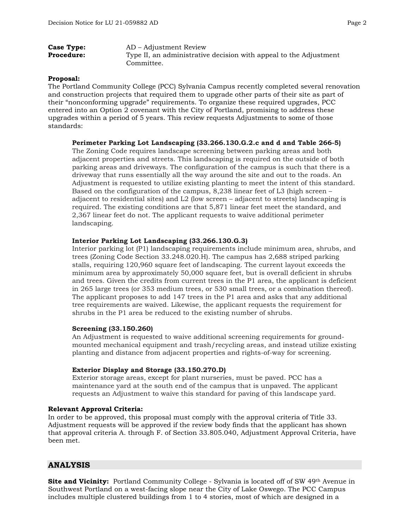| <b>Case Type:</b> | AD – Adjustment Review                                            |
|-------------------|-------------------------------------------------------------------|
| <b>Procedure:</b> | Type II, an administrative decision with appeal to the Adjustment |
|                   | Committee.                                                        |

#### **Proposal:**

The Portland Community College (PCC) Sylvania Campus recently completed several renovation and construction projects that required them to upgrade other parts of their site as part of their "nonconforming upgrade" requirements. To organize these required upgrades, PCC entered into an Option 2 covenant with the City of Portland, promising to address these upgrades within a period of 5 years. This review requests Adjustments to some of those standards:

#### **Perimeter Parking Lot Landscaping (33.266.130.G.2.c and d and Table 266-5)**

The Zoning Code requires landscape screening between parking areas and both adjacent properties and streets. This landscaping is required on the outside of both parking areas and driveways. The configuration of the campus is such that there is a driveway that runs essentially all the way around the site and out to the roads. An Adjustment is requested to utilize existing planting to meet the intent of this standard. Based on the configuration of the campus, 8,238 linear feet of L3 (high screen – adjacent to residential sites) and L2 (low screen – adjacent to streets) landscaping is required. The existing conditions are that 5,871 linear feet meet the standard, and 2,367 linear feet do not. The applicant requests to waive additional perimeter landscaping.

#### **Interior Parking Lot Landscaping (33.266.130.G.3)**

Interior parking lot (P1) landscaping requirements include minimum area, shrubs, and trees (Zoning Code Section 33.248.020.H). The campus has 2,688 striped parking stalls, requiring 120,960 square feet of landscaping. The current layout exceeds the minimum area by approximately 50,000 square feet, but is overall deficient in shrubs and trees. Given the credits from current trees in the P1 area, the applicant is deficient in 265 large trees (or 353 medium trees, or 530 small trees, or a combination thereof). The applicant proposes to add 147 trees in the P1 area and asks that any additional tree requirements are waived. Likewise, the applicant requests the requirement for shrubs in the P1 area be reduced to the existing number of shrubs.

#### **Screening (33.150.260)**

An Adjustment is requested to waive additional screening requirements for groundmounted mechanical equipment and trash/recycling areas, and instead utilize existing planting and distance from adjacent properties and rights-of-way for screening.

#### **Exterior Display and Storage (33.150.270.D)**

Exterior storage areas, except for plant nurseries, must be paved. PCC has a maintenance yard at the south end of the campus that is unpaved. The applicant requests an Adjustment to waive this standard for paving of this landscape yard.

#### **Relevant Approval Criteria:**

In order to be approved, this proposal must comply with the approval criteria of Title 33. Adjustment requests will be approved if the review body finds that the applicant has shown that approval criteria A. through F. of Section 33.805.040, Adjustment Approval Criteria, have been met.

### **ANALYSIS**

**Site and Vicinity:** Portland Community College - Sylvania is located off of SW 49<sup>th</sup> Avenue in Southwest Portland on a west-facing slope near the City of Lake Oswego. The PCC Campus includes multiple clustered buildings from 1 to 4 stories, most of which are designed in a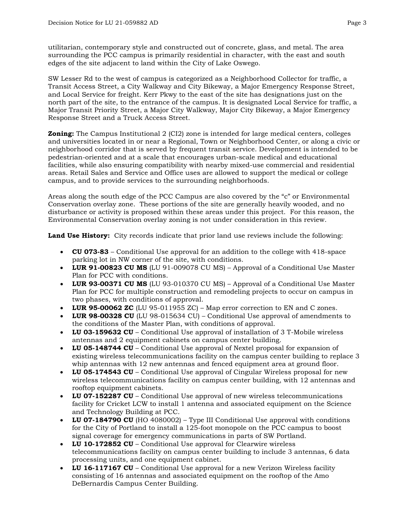utilitarian, contemporary style and constructed out of concrete, glass, and metal. The area surrounding the PCC campus is primarily residential in character, with the east and south edges of the site adjacent to land within the City of Lake Oswego.

SW Lesser Rd to the west of campus is categorized as a Neighborhood Collector for traffic, a Transit Access Street, a City Walkway and City Bikeway, a Major Emergency Response Street, and Local Service for freight. Kerr Pkwy to the east of the site has designations just on the north part of the site, to the entrance of the campus. It is designated Local Service for traffic, a Major Transit Priority Street, a Major City Walkway, Major City Bikeway, a Major Emergency Response Street and a Truck Access Street.

**Zoning:** The Campus Institutional 2 (CI2) zone is intended for large medical centers, colleges and universities located in or near a Regional, Town or Neighborhood Center, or along a civic or neighborhood corridor that is served by frequent transit service. Development is intended to be pedestrian-oriented and at a scale that encourages urban-scale medical and educational facilities, while also ensuring compatibility with nearby mixed-use commercial and residential areas. Retail Sales and Service and Office uses are allowed to support the medical or college campus, and to provide services to the surrounding neighborhoods.

Areas along the south edge of the PCC Campus are also covered by the "c" or Environmental Conservation overlay zone. These portions of the site are generally heavily wooded, and no disturbance or activity is proposed within these areas under this project. For this reason, the Environmental Conservation overlay zoning is not under consideration in this review.

**Land Use History:** City records indicate that prior land use reviews include the following:

- **CU 073-83** Conditional Use approval for an addition to the college with 418-space parking lot in NW corner of the site, with conditions.
- **LUR 91-00823 CU MS** (LU 91-009078 CU MS) Approval of a Conditional Use Master Plan for PCC with conditions.
- **LUR 93-00371 CU MS** (LU 93-010370 CU MS) Approval of a Conditional Use Master Plan for PCC for multiple construction and remodeling projects to occur on campus in two phases, with conditions of approval.
- **LUR 95-00062 ZC** (LU 95-011955 ZC) Map error correction to EN and C zones.
- **LUR 98-00328 CU** (LU 98-015634 CU) Conditional Use approval of amendments to the conditions of the Master Plan, with conditions of approval.
- **LU 03-159632 CU** Conditional Use approval of installation of 3 T-Mobile wireless antennas and 2 equipment cabinets on campus center building.
- **LU 05-148744 CU** Conditional Use approval of Nextel proposal for expansion of existing wireless telecommunications facility on the campus center building to replace 3 whip antennas with 12 new antennas and fenced equipment area at ground floor.
- **LU 05-174543 CU** Conditional Use approval of Cingular Wireless proposal for new wireless telecommunications facility on campus center building, with 12 antennas and rooftop equipment cabinets.
- **LU 07-152287 CU** Conditional Use approval of new wireless telecommunications facility for Cricket LCW to install 1 antenna and associated equipment on the Science and Technology Building at PCC.
- **LU 07-184790 CU** (HO 4080002) Type III Conditional Use approval with conditions for the City of Portland to install a 125-foot monopole on the PCC campus to boost signal coverage for emergency communications in parts of SW Portland.
- **LU 10-172852 CU** Conditional Use approval for Clearwire wireless telecommunications facility on campus center building to include 3 antennas, 6 data processing units, and one equipment cabinet.
- **LU 16-117167 CU** Conditional Use approval for a new Verizon Wireless facility consisting of 16 antennas and associated equipment on the rooftop of the Amo DeBernardis Campus Center Building.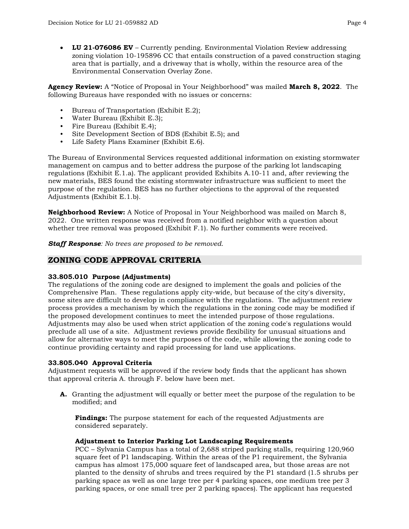• **LU 21-076086 EV** – Currently pending. Environmental Violation Review addressing zoning violation 10-195896 CC that entails construction of a paved construction staging area that is partially, and a driveway that is wholly, within the resource area of the Environmental Conservation Overlay Zone.

**Agency Review:** A "Notice of Proposal in Your Neighborhood" was mailed **March 8, 2022**. The following Bureaus have responded with no issues or concerns:

- Bureau of Transportation (Exhibit E.2);
- Water Bureau (Exhibit E.3);
- Fire Bureau (Exhibit E.4);
- Site Development Section of BDS (Exhibit E.5); and
- Life Safety Plans Examiner (Exhibit E.6).

The Bureau of Environmental Services requested additional information on existing stormwater management on campus and to better address the purpose of the parking lot landscaping regulations (Exhibit E.1.a). The applicant provided Exhibits A.10-11 and, after reviewing the new materials, BES found the existing stormwater infrastructure was sufficient to meet the purpose of the regulation. BES has no further objections to the approval of the requested Adjustments (Exhibit E.1.b).

**Neighborhood Review:** A Notice of Proposal in Your Neighborhood was mailed on March 8, 2022. One written response was received from a notified neighbor with a question about whether tree removal was proposed (Exhibit F.1). No further comments were received.

*Staff Response: No trees are proposed to be removed.*

## **ZONING CODE APPROVAL CRITERIA**

#### **33.805.010 Purpose (Adjustments)**

The regulations of the zoning code are designed to implement the goals and policies of the Comprehensive Plan. These regulations apply city-wide, but because of the city's diversity, some sites are difficult to develop in compliance with the regulations. The adjustment review process provides a mechanism by which the regulations in the zoning code may be modified if the proposed development continues to meet the intended purpose of those regulations. Adjustments may also be used when strict application of the zoning code's regulations would preclude all use of a site. Adjustment reviews provide flexibility for unusual situations and allow for alternative ways to meet the purposes of the code, while allowing the zoning code to continue providing certainty and rapid processing for land use applications.

#### **33.805.040 Approval Criteria**

Adjustment requests will be approved if the review body finds that the applicant has shown that approval criteria A. through F. below have been met.

**A.** Granting the adjustment will equally or better meet the purpose of the regulation to be modified; and

**Findings:** The purpose statement for each of the requested Adjustments are considered separately.

#### **Adjustment to Interior Parking Lot Landscaping Requirements**

PCC – Sylvania Campus has a total of 2,688 striped parking stalls, requiring 120,960 square feet of P1 landscaping. Within the areas of the P1 requirement, the Sylvania campus has almost 175,000 square feet of landscaped area, but those areas are not planted to the density of shrubs and trees required by the P1 standard (1.5 shrubs per parking space as well as one large tree per 4 parking spaces, one medium tree per 3 parking spaces, or one small tree per 2 parking spaces). The applicant has requested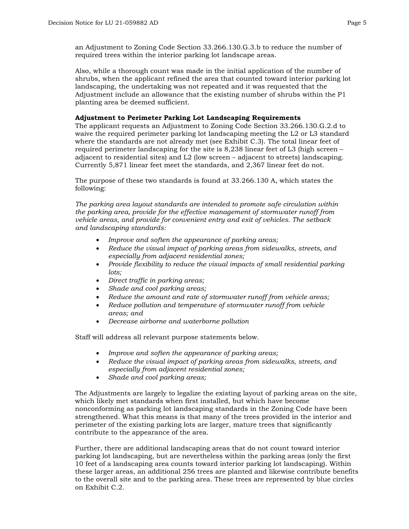an Adjustment to Zoning Code Section 33.266.130.G.3.b to reduce the number of required trees within the interior parking lot landscape areas.

Also, while a thorough count was made in the initial application of the number of shrubs, when the applicant refined the area that counted toward interior parking lot landscaping, the undertaking was not repeated and it was requested that the Adjustment include an allowance that the existing number of shrubs within the P1 planting area be deemed sufficient.

#### **Adjustment to Perimeter Parking Lot Landscaping Requirements**

The applicant requests an Adjustment to Zoning Code Section 33.266.130.G.2.d to waive the required perimeter parking lot landscaping meeting the L2 or L3 standard where the standards are not already met (see Exhibit C.3). The total linear feet of required perimeter landscaping for the site is 8,238 linear feet of L3 (high screen – adjacent to residential sites) and L2 (low screen – adjacent to streets) landscaping. Currently 5,871 linear feet meet the standards, and 2,367 linear feet do not.

The purpose of these two standards is found at 33.266.130 A, which states the following:

*The parking area layout standards are intended to promote safe circulation within the parking area, provide for the effective management of stormwater runoff from vehicle areas, and provide for convenient entry and exit of vehicles. The setback and landscaping standards:*

- *Improve and soften the appearance of parking areas;*
- *Reduce the visual impact of parking areas from sidewalks, streets, and especially from adjacent residential zones;*
- *Provide flexibility to reduce the visual impacts of small residential parking lots;*
- *Direct traffic in parking areas;*
- *Shade and cool parking areas;*
- *Reduce the amount and rate of stormwater runoff from vehicle areas;*
- *Reduce pollution and temperature of stormwater runoff from vehicle areas; and*
- *Decrease airborne and waterborne pollution*

Staff will address all relevant purpose statements below.

- *Improve and soften the appearance of parking areas;*
- *Reduce the visual impact of parking areas from sidewalks, streets, and especially from adjacent residential zones;*
- *Shade and cool parking areas;*

The Adjustments are largely to legalize the existing layout of parking areas on the site, which likely met standards when first installed, but which have become nonconforming as parking lot landscaping standards in the Zoning Code have been strengthened. What this means is that many of the trees provided in the interior and perimeter of the existing parking lots are larger, mature trees that significantly contribute to the appearance of the area.

Further, there are additional landscaping areas that do not count toward interior parking lot landscaping, but are nevertheless within the parking areas (only the first 10 feet of a landscaping area counts toward interior parking lot landscaping). Within these larger areas, an additional 256 trees are planted and likewise contribute benefits to the overall site and to the parking area. These trees are represented by blue circles on Exhibit C.2.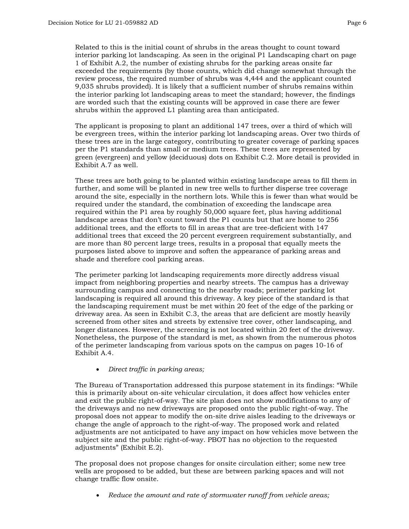Related to this is the initial count of shrubs in the areas thought to count toward interior parking lot landscaping. As seen in the original P1 Landscaping chart on page 1 of Exhibit A.2, the number of existing shrubs for the parking areas onsite far exceeded the requirements (by those counts, which did change somewhat through the review process, the required number of shrubs was 4,444 and the applicant counted 9,035 shrubs provided). It is likely that a sufficient number of shrubs remains within the interior parking lot landscaping areas to meet the standard; however, the findings are worded such that the existing counts will be approved in case there are fewer shrubs within the approved L1 planting area than anticipated.

The applicant is proposing to plant an additional 147 trees, over a third of which will be evergreen trees, within the interior parking lot landscaping areas. Over two thirds of these trees are in the large category, contributing to greater coverage of parking spaces per the P1 standards than small or medium trees. These trees are represented by green (evergreen) and yellow (deciduous) dots on Exhibit C.2. More detail is provided in Exhibit A.7 as well.

These trees are both going to be planted within existing landscape areas to fill them in further, and some will be planted in new tree wells to further disperse tree coverage around the site, especially in the northern lots. While this is fewer than what would be required under the standard, the combination of exceeding the landscape area required within the P1 area by roughly 50,000 square feet, plus having additional landscape areas that don't count toward the P1 counts but that are home to 256 additional trees, and the efforts to fill in areas that are tree-deficient with 147 additional trees that exceed the 20 percent evergreen requirement substantially, and are more than 80 percent large trees, results in a proposal that equally meets the purposes listed above to improve and soften the appearance of parking areas and shade and therefore cool parking areas.

The perimeter parking lot landscaping requirements more directly address visual impact from neighboring properties and nearby streets. The campus has a driveway surrounding campus and connecting to the nearby roads; perimeter parking lot landscaping is required all around this driveway. A key piece of the standard is that the landscaping requirement must be met within 20 feet of the edge of the parking or driveway area. As seen in Exhibit C.3, the areas that are deficient are mostly heavily screened from other sites and streets by extensive tree cover, other landscaping, and longer distances. However, the screening is not located within 20 feet of the driveway. Nonetheless, the purpose of the standard is met, as shown from the numerous photos of the perimeter landscaping from various spots on the campus on pages 10-16 of Exhibit A.4.

• *Direct traffic in parking areas;* 

The Bureau of Transportation addressed this purpose statement in its findings: "While this is primarily about on-site vehicular circulation, it does affect how vehicles enter and exit the public right-of-way. The site plan does not show modifications to any of the driveways and no new driveways are proposed onto the public right-of-way. The proposal does not appear to modify the on-site drive aisles leading to the driveways or change the angle of approach to the right-of-way. The proposed work and related adjustments are not anticipated to have any impact on how vehicles move between the subject site and the public right-of-way. PBOT has no objection to the requested adjustments" (Exhibit E.2).

The proposal does not propose changes for onsite circulation either; some new tree wells are proposed to be added, but these are between parking spaces and will not change traffic flow onsite.

• *Reduce the amount and rate of stormwater runoff from vehicle areas;*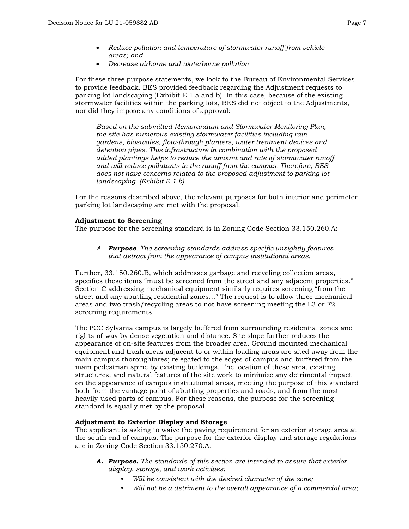- *Reduce pollution and temperature of stormwater runoff from vehicle areas; and*
- *Decrease airborne and waterborne pollution*

For these three purpose statements, we look to the Bureau of Environmental Services to provide feedback. BES provided feedback regarding the Adjustment requests to parking lot landscaping (Exhibit E.1.a and b). In this case, because of the existing stormwater facilities within the parking lots, BES did not object to the Adjustments, nor did they impose any conditions of approval:

*Based on the submitted Memorandum and Stormwater Monitoring Plan, the site has numerous existing stormwater facilities including rain gardens, bioswales, flow-through planters, water treatment devices and detention pipes. This infrastructure in combination with the proposed added plantings helps to reduce the amount and rate of stormwater runoff and will reduce pollutants in the runoff from the campus. Therefore, BES does not have concerns related to the proposed adjustment to parking lot landscaping. (Exhibit E.1.b)*

For the reasons described above, the relevant purposes for both interior and perimeter parking lot landscaping are met with the proposal.

#### **Adjustment to Screening**

The purpose for the screening standard is in Zoning Code Section 33.150.260.A:

*A. Purpose. The screening standards address specific unsightly features that detract from the appearance of campus institutional areas.* 

Further, 33.150.260.B, which addresses garbage and recycling collection areas, specifies these items "must be screened from the street and any adjacent properties." Section C addressing mechanical equipment similarly requires screening "from the street and any abutting residential zones…" The request is to allow three mechanical areas and two trash/recycling areas to not have screening meeting the L3 or F2 screening requirements.

The PCC Sylvania campus is largely buffered from surrounding residential zones and rights-of-way by dense vegetation and distance. Site slope further reduces the appearance of on-site features from the broader area. Ground mounted mechanical equipment and trash areas adjacent to or within loading areas are sited away from the main campus thoroughfares; relegated to the edges of campus and buffered from the main pedestrian spine by existing buildings. The location of these area, existing structures, and natural features of the site work to minimize any detrimental impact on the appearance of campus institutional areas, meeting the purpose of this standard both from the vantage point of abutting properties and roads, and from the most heavily-used parts of campus. For these reasons, the purpose for the screening standard is equally met by the proposal.

#### **Adjustment to Exterior Display and Storage**

The applicant is asking to waive the paving requirement for an exterior storage area at the south end of campus. The purpose for the exterior display and storage regulations are in Zoning Code Section 33.150.270.A:

- *A. Purpose. The standards of this section are intended to assure that exterior display, storage, and work activities:*
	- *• Will be consistent with the desired character of the zone;*
	- *• Will not be a detriment to the overall appearance of a commercial area;*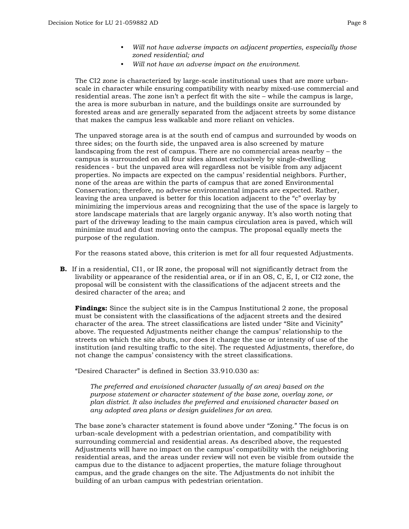- *• Will not have adverse impacts on adjacent properties, especially those zoned residential; and*
- *• Will not have an adverse impact on the environment.*

The CI2 zone is characterized by large-scale institutional uses that are more urbanscale in character while ensuring compatibility with nearby mixed-use commercial and residential areas. The zone isn't a perfect fit with the site – while the campus is large, the area is more suburban in nature, and the buildings onsite are surrounded by forested areas and are generally separated from the adjacent streets by some distance that makes the campus less walkable and more reliant on vehicles.

The unpaved storage area is at the south end of campus and surrounded by woods on three sides; on the fourth side, the unpaved area is also screened by mature landscaping from the rest of campus. There are no commercial areas nearby – the campus is surrounded on all four sides almost exclusively by single-dwelling residences - but the unpaved area will regardless not be visible from any adjacent properties. No impacts are expected on the campus' residential neighbors. Further, none of the areas are within the parts of campus that are zoned Environmental Conservation; therefore, no adverse environmental impacts are expected. Rather, leaving the area unpaved is better for this location adjacent to the "c" overlay by minimizing the impervious areas and recognizing that the use of the space is largely to store landscape materials that are largely organic anyway. It's also worth noting that part of the driveway leading to the main campus circulation area is paved, which will minimize mud and dust moving onto the campus. The proposal equally meets the purpose of the regulation.

For the reasons stated above, this criterion is met for all four requested Adjustments.

**B.** If in a residential, CI1, or IR zone, the proposal will not significantly detract from the livability or appearance of the residential area, or if in an OS, C, E, I, or CI2 zone, the proposal will be consistent with the classifications of the adjacent streets and the desired character of the area; and

**Findings:** Since the subject site is in the Campus Institutional 2 zone, the proposal must be consistent with the classifications of the adjacent streets and the desired character of the area. The street classifications are listed under "Site and Vicinity" above. The requested Adjustments neither change the campus' relationship to the streets on which the site abuts, nor does it change the use or intensity of use of the institution (and resulting traffic to the site). The requested Adjustments, therefore, do not change the campus' consistency with the street classifications.

"Desired Character" is defined in Section 33.910.030 as:

*The preferred and envisioned character (usually of an area) based on the purpose statement or character statement of the base zone, overlay zone, or plan district. It also includes the preferred and envisioned character based on any adopted area plans or design guidelines for an area.*

The base zone's character statement is found above under "Zoning." The focus is on urban-scale development with a pedestrian orientation, and compatibility with surrounding commercial and residential areas. As described above, the requested Adjustments will have no impact on the campus' compatibility with the neighboring residential areas, and the areas under review will not even be visible from outside the campus due to the distance to adjacent properties, the mature foliage throughout campus, and the grade changes on the site. The Adjustments do not inhibit the building of an urban campus with pedestrian orientation.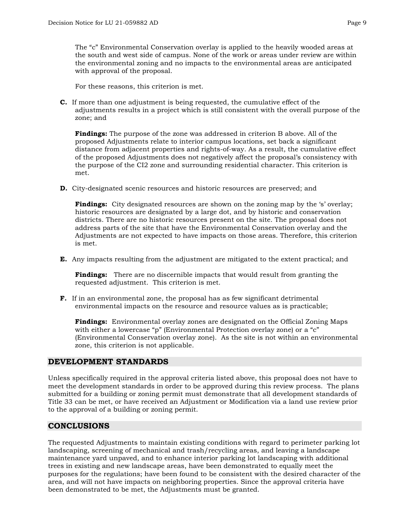The "c" Environmental Conservation overlay is applied to the heavily wooded areas at the south and west side of campus. None of the work or areas under review are within the environmental zoning and no impacts to the environmental areas are anticipated with approval of the proposal.

For these reasons, this criterion is met.

**C.** If more than one adjustment is being requested, the cumulative effect of the adjustments results in a project which is still consistent with the overall purpose of the zone; and

**Findings:** The purpose of the zone was addressed in criterion B above. All of the proposed Adjustments relate to interior campus locations, set back a significant distance from adjacent properties and rights-of-way. As a result, the cumulative effect of the proposed Adjustments does not negatively affect the proposal's consistency with the purpose of the CI2 zone and surrounding residential character. This criterion is met.

**D.** City-designated scenic resources and historic resources are preserved; and

**Findings:** City designated resources are shown on the zoning map by the 's' overlay; historic resources are designated by a large dot, and by historic and conservation districts. There are no historic resources present on the site. The proposal does not address parts of the site that have the Environmental Conservation overlay and the Adjustments are not expected to have impacts on those areas. Therefore, this criterion is met.

**E.** Any impacts resulting from the adjustment are mitigated to the extent practical; and

**Findings:** There are no discernible impacts that would result from granting the requested adjustment. This criterion is met.

**F.** If in an environmental zone, the proposal has as few significant detrimental environmental impacts on the resource and resource values as is practicable;

**Findings:** Environmental overlay zones are designated on the Official Zoning Maps with either a lowercase "p" (Environmental Protection overlay zone) or a "c" (Environmental Conservation overlay zone). As the site is not within an environmental zone, this criterion is not applicable.

# **DEVELOPMENT STANDARDS**

Unless specifically required in the approval criteria listed above, this proposal does not have to meet the development standards in order to be approved during this review process. The plans submitted for a building or zoning permit must demonstrate that all development standards of Title 33 can be met, or have received an Adjustment or Modification via a land use review prior to the approval of a building or zoning permit.

# **CONCLUSIONS**

The requested Adjustments to maintain existing conditions with regard to perimeter parking lot landscaping, screening of mechanical and trash/recycling areas, and leaving a landscape maintenance yard unpaved, and to enhance interior parking lot landscaping with additional trees in existing and new landscape areas, have been demonstrated to equally meet the purposes for the regulations; have been found to be consistent with the desired character of the area, and will not have impacts on neighboring properties. Since the approval criteria have been demonstrated to be met, the Adjustments must be granted.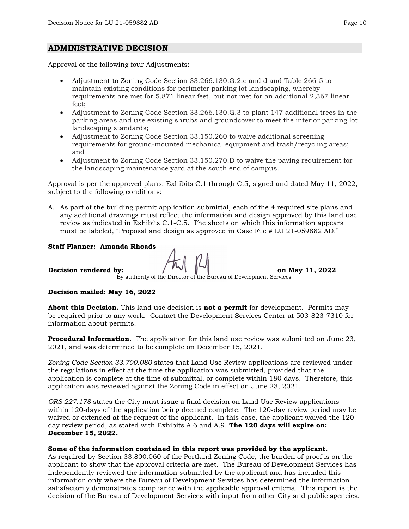### **ADMINISTRATIVE DECISION**

Approval of the following four Adjustments:

- Adjustment to Zoning Code Section 33.266.130.G.2.c and d and Table 266-5 to maintain existing conditions for perimeter parking lot landscaping, whereby requirements are met for 5,871 linear feet, but not met for an additional 2,367 linear feet;
- Adjustment to Zoning Code Section 33.266.130.G.3 to plant 147 additional trees in the parking areas and use existing shrubs and groundcover to meet the interior parking lot landscaping standards;
- Adjustment to Zoning Code Section 33.150.260 to waive additional screening requirements for ground-mounted mechanical equipment and trash/recycling areas; and
- Adjustment to Zoning Code Section 33.150.270.D to waive the paving requirement for the landscaping maintenance yard at the south end of campus.

Approval is per the approved plans, Exhibits C.1 through C.5, signed and dated May 11, 2022, subject to the following conditions:

A. As part of the building permit application submittal, each of the 4 required site plans and any additional drawings must reflect the information and design approved by this land use review as indicated in Exhibits C.1-C.5. The sheets on which this information appears must be labeled, "Proposal and design as approved in Case File # LU 21-059882 AD."

#### **Staff Planner: Amanda Rhoads**

**Decision rendered by:**  $\begin{bmatrix} 1 \\ 2 \end{bmatrix}$   $\begin{bmatrix} 2022 \\ 2 \end{bmatrix}$ 

By authority of the Director of the Bureau of Development Services

#### **Decision mailed: May 16, 2022**

**About this Decision.** This land use decision is **not a permit** for development. Permits may be required prior to any work. Contact the Development Services Center at 503-823-7310 for information about permits.

**Procedural Information.** The application for this land use review was submitted on June 23, 2021, and was determined to be complete on December 15, 2021.

*Zoning Code Section 33.700.080* states that Land Use Review applications are reviewed under the regulations in effect at the time the application was submitted, provided that the application is complete at the time of submittal, or complete within 180 days. Therefore, this application was reviewed against the Zoning Code in effect on June 23, 2021.

*ORS 227.178* states the City must issue a final decision on Land Use Review applications within 120-days of the application being deemed complete. The 120-day review period may be waived or extended at the request of the applicant. In this case, the applicant waived the 120 day review period, as stated with Exhibits A.6 and A.9. **The 120 days will expire on: December 15, 2022.**

#### **Some of the information contained in this report was provided by the applicant.**

As required by Section 33.800.060 of the Portland Zoning Code, the burden of proof is on the applicant to show that the approval criteria are met. The Bureau of Development Services has independently reviewed the information submitted by the applicant and has included this information only where the Bureau of Development Services has determined the information satisfactorily demonstrates compliance with the applicable approval criteria. This report is the decision of the Bureau of Development Services with input from other City and public agencies.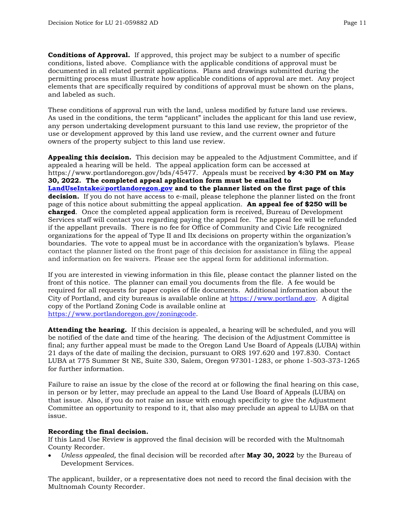**Conditions of Approval.** If approved, this project may be subject to a number of specific conditions, listed above. Compliance with the applicable conditions of approval must be documented in all related permit applications. Plans and drawings submitted during the permitting process must illustrate how applicable conditions of approval are met. Any project elements that are specifically required by conditions of approval must be shown on the plans, and labeled as such.

These conditions of approval run with the land, unless modified by future land use reviews. As used in the conditions, the term "applicant" includes the applicant for this land use review, any person undertaking development pursuant to this land use review, the proprietor of the use or development approved by this land use review, and the current owner and future owners of the property subject to this land use review.

**Appealing this decision.** This decision may be appealed to the Adjustment Committee, and if appealed a hearing will be held. The appeal application form can be accessed at https://www.portlandoregon.gov/bds/45477. Appeals must be received **by 4:30 PM on May 30, 2022. The completed appeal application form must be emailed to [LandUseIntake@portlandoregon.gov](mailto:LandUseIntake@portlandoregon.gov) and to the planner listed on the first page of this decision.** If you do not have access to e-mail, please telephone the planner listed on the front page of this notice about submitting the appeal application. **An appeal fee of \$250 will be charged**. Once the completed appeal application form is received, Bureau of Development Services staff will contact you regarding paying the appeal fee. The appeal fee will be refunded if the appellant prevails. There is no fee for Office of Community and Civic Life recognized organizations for the appeal of Type II and IIx decisions on property within the organization's boundaries. The vote to appeal must be in accordance with the organization's bylaws. Please contact the planner listed on the front page of this decision for assistance in filing the appeal and information on fee waivers. Please see the appeal form for additional information.

If you are interested in viewing information in this file, please contact the planner listed on the front of this notice. The planner can email you documents from the file. A fee would be required for all requests for paper copies of file documents. Additional information about the City of Portland, and city bureaus is available online at [https://www.portland.gov.](https://www.portland.gov/) A digital copy of the Portland Zoning Code is available online at [https://www.portlandoregon.gov/zoningcode.](https://www.portlandoregon.gov/zoningcode)

**Attending the hearing.** If this decision is appealed, a hearing will be scheduled, and you will be notified of the date and time of the hearing. The decision of the Adjustment Committee is final; any further appeal must be made to the Oregon Land Use Board of Appeals (LUBA) within 21 days of the date of mailing the decision, pursuant to ORS 197.620 and 197.830. Contact LUBA at 775 Summer St NE, Suite 330, Salem, Oregon 97301-1283, or phone 1-503-373-1265 for further information.

Failure to raise an issue by the close of the record at or following the final hearing on this case, in person or by letter, may preclude an appeal to the Land Use Board of Appeals (LUBA) on that issue. Also, if you do not raise an issue with enough specificity to give the Adjustment Committee an opportunity to respond to it, that also may preclude an appeal to LUBA on that issue.

#### **Recording the final decision.**

If this Land Use Review is approved the final decision will be recorded with the Multnomah County Recorder.

• *Unless appealed,* the final decision will be recorded after **May 30, 2022** by the Bureau of Development Services.

The applicant, builder, or a representative does not need to record the final decision with the Multnomah County Recorder.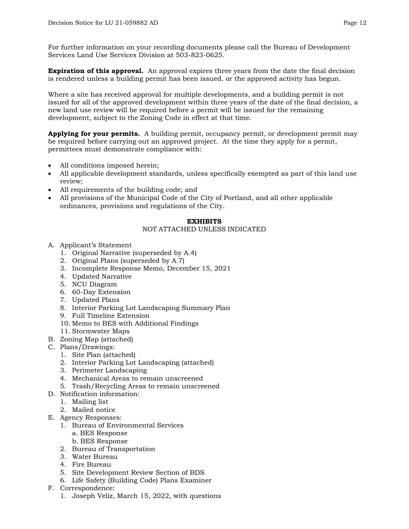For further information on your recording documents please call the Bureau of Development Services Land Use Services Division at 503-823-0625.

**Expiration of this approval.** An approval expires three years from the date the final decision is rendered unless a building permit has been issued, or the approved activity has begun.

Where a site has received approval for multiple developments, and a building permit is not issued for all of the approved development within three years of the date of the final decision, a new land use review will be required before a permit will be issued for the remaining development, subject to the Zoning Code in effect at that time.

**Applying for your permits.** A building permit, occupancy permit, or development permit may be required before carrying out an approved project. At the time they apply for a permit, permittees must demonstrate compliance with:

- All conditions imposed herein;
- All applicable development standards, unless specifically exempted as part of this land use review;
- All requirements of the building code; and
- All provisions of the Municipal Code of the City of Portland, and all other applicable ordinances, provisions and regulations of the City.

#### **EXHIBITS**

#### NOT ATTACHED UNLESS INDICATED

- A. Applicant's Statement
	- 1. Original Narrative (superseded by A.4)
	- 2. Original Plans (superseded by A.7)
	- 3. Incomplete Response Memo, December 15, 2021
	- 4. Updated Narrative
	- 5. NCU Diagram
	- 6. 60-Day Extension
	- 7. Updated Plans
	- 8. Interior Parking Lot Landscaping Summary Plan
	- 9. Full Timeline Extension
	- 10. Memo to BES with Additional Findings
	- 11. Stormwater Maps
- B. Zoning Map (attached)
- C. Plans/Drawings:
	- 1. Site Plan (attached)
	- 2. Interior Parking Lot Landscaping (attached)
	- 3. Perimeter Landscaping
	- 4. Mechanical Areas to remain unscreened
	- 5. Trash/Recycling Areas to remain unscreened
- D. Notification information:
	- 1. Mailing list
	- 2. Mailed notice
- E. Agency Responses:
	- 1. Bureau of Environmental Services
		- a. BES Response
		- b. BES Response
	- 2. Bureau of Transportation
	- 3. Water Bureau
	- 4. Fire Bureau
	- 5. Site Development Review Section of BDS
	- 6. Life Safety (Building Code) Plans Examiner
- F. Correspondence:
	- 1. Joseph Veliz, March 15, 2022, with questions